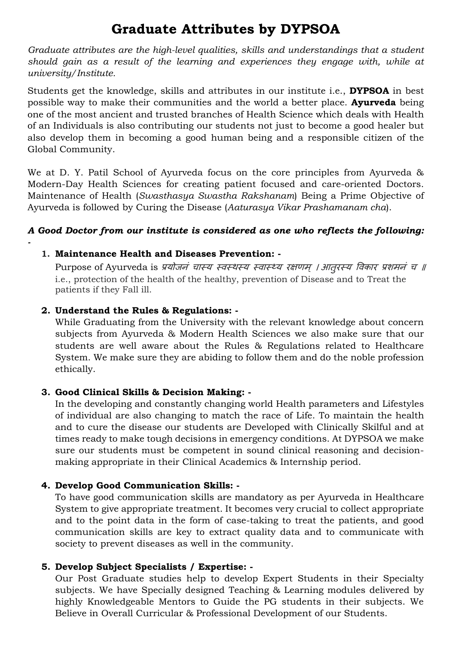# **Graduate Attributes by DYPSOA**

*Graduate attributes are the high-level qualities, skills and understandings that a student should gain as a result of the learning and experiences they engage with, while at university/Institute.* 

Students get the knowledge, skills and attributes in our institute i.e., **DYPSOA** in best possible way to make their communities and the world a better place. **Ayurveda** being one of the most ancient and trusted branches of Health Science which deals with Health of an Individuals is also contributing our students not just to become a good healer but also develop them in becoming a good human being and a responsible citizen of the Global Community.

We at D. Y. Patil School of Ayurveda focus on the core principles from Ayurveda & Modern-Day Health Sciences for creating patient focused and care-oriented Doctors. Maintenance of Health (*Swasthasya Swastha Rakshanam*) Being a Prime Objective of Ayurveda is followed by Curing the Disease (*Aaturasya Vikar Prashamanam cha*).

# *A Good Doctor from our institute is considered as one who reflects the following:*

# **1. Maintenance Health and Diseases Prevention: -**

Purpose of Ayurveda is प्रयोजनं चास्य स्वस्थस्य स्वास्थ्य रक्षणम् । आतुरस्य विकार प्रशमनं च ॥ i.e., protection of the health of the healthy, prevention of Disease and to Treat the patients if they Fall ill.

#### **2. Understand the Rules & Regulations: -**

*-*

While Graduating from the University with the relevant knowledge about concern subjects from Ayurveda & Modern Health Sciences we also make sure that our students are well aware about the Rules & Regulations related to Healthcare System. We make sure they are abiding to follow them and do the noble profession ethically.

# **3. Good Clinical Skills & Decision Making: -**

In the developing and constantly changing world Health parameters and Lifestyles of individual are also changing to match the race of Life. To maintain the health and to cure the disease our students are Developed with Clinically Skilful and at times ready to make tough decisions in emergency conditions. At DYPSOA we make sure our students must be competent in sound clinical reasoning and decisionmaking appropriate in their Clinical Academics & Internship period.

# **4. Develop Good Communication Skills: -**

To have good communication skills are mandatory as per Ayurveda in Healthcare System to give appropriate treatment. It becomes very crucial to collect appropriate and to the point data in the form of case-taking to treat the patients, and good communication skills are key to extract quality data and to communicate with society to prevent diseases as well in the community.

# **5. Develop Subject Specialists / Expertise: -**

Our Post Graduate studies help to develop Expert Students in their Specialty subjects. We have Specially designed Teaching & Learning modules delivered by highly Knowledgeable Mentors to Guide the PG students in their subjects. We Believe in Overall Curricular & Professional Development of our Students.